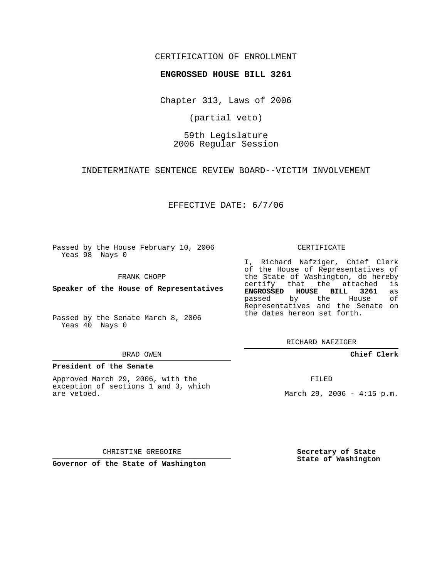### CERTIFICATION OF ENROLLMENT

#### **ENGROSSED HOUSE BILL 3261**

Chapter 313, Laws of 2006

(partial veto)

## 59th Legislature 2006 Regular Session

INDETERMINATE SENTENCE REVIEW BOARD--VICTIM INVOLVEMENT

EFFECTIVE DATE: 6/7/06

Passed by the House February 10, 2006 Yeas 98 Nays 0

FRANK CHOPP

**Speaker of the House of Representatives**

Passed by the Senate March 8, 2006 Yeas 40 Nays 0

#### BRAD OWEN

#### **President of the Senate**

Approved March 29, 2006, with the exception of sections 1 and 3, which are vetoed.

#### CERTIFICATE

I, Richard Nafziger, Chief Clerk of the House of Representatives of the State of Washington, do hereby<br>certify that the attached is certify that the attached **ENGROSSED HOUSE BILL 3261** as passed by the House Representatives and the Senate on the dates hereon set forth.

RICHARD NAFZIGER

**Chief Clerk**

FILED

March 29, 2006 -  $4:15$  p.m.

CHRISTINE GREGOIRE

**Governor of the State of Washington**

**Secretary of State State of Washington**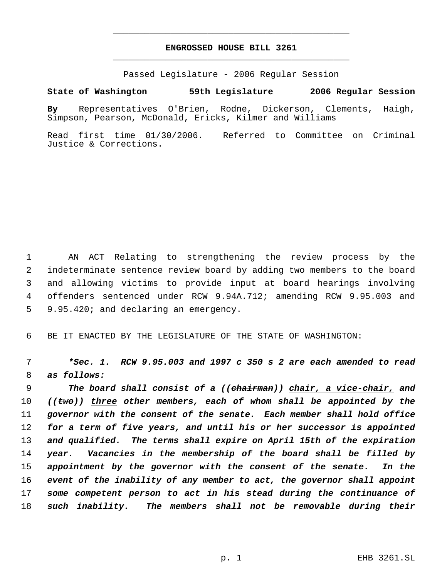# **ENGROSSED HOUSE BILL 3261** \_\_\_\_\_\_\_\_\_\_\_\_\_\_\_\_\_\_\_\_\_\_\_\_\_\_\_\_\_\_\_\_\_\_\_\_\_\_\_\_\_\_\_\_\_

\_\_\_\_\_\_\_\_\_\_\_\_\_\_\_\_\_\_\_\_\_\_\_\_\_\_\_\_\_\_\_\_\_\_\_\_\_\_\_\_\_\_\_\_\_

Passed Legislature - 2006 Regular Session

## **State of Washington 59th Legislature 2006 Regular Session**

**By** Representatives O'Brien, Rodne, Dickerson, Clements, Haigh, Simpson, Pearson, McDonald, Ericks, Kilmer and Williams

Read first time 01/30/2006. Referred to Committee on Criminal Justice & Corrections.

 AN ACT Relating to strengthening the review process by the indeterminate sentence review board by adding two members to the board and allowing victims to provide input at board hearings involving offenders sentenced under RCW 9.94A.712; amending RCW 9.95.003 and 9.95.420; and declaring an emergency.

BE IT ENACTED BY THE LEGISLATURE OF THE STATE OF WASHINGTON:

 *\*Sec. 1. RCW 9.95.003 and 1997 c 350 s 2 are each amended to read as follows:*

 *The board shall consist of a ((chairman)) chair, a vice-chair, and ((two)) three other members, each of whom shall be appointed by the governor with the consent of the senate. Each member shall hold office for a term of five years, and until his or her successor is appointed and qualified. The terms shall expire on April 15th of the expiration year. Vacancies in the membership of the board shall be filled by appointment by the governor with the consent of the senate. In the event of the inability of any member to act, the governor shall appoint some competent person to act in his stead during the continuance of such inability. The members shall not be removable during their*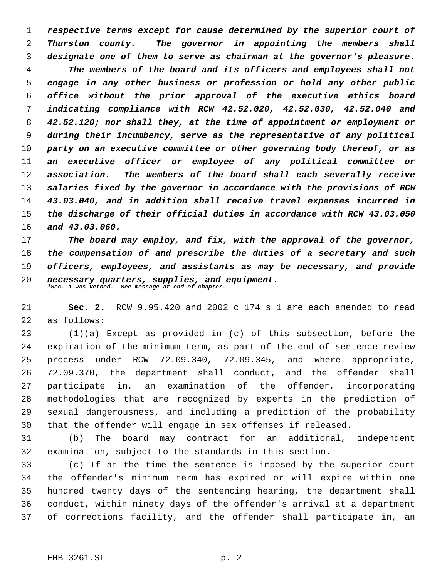*respective terms except for cause determined by the superior court of Thurston county. The governor in appointing the members shall designate one of them to serve as chairman at the governor's pleasure. The members of the board and its officers and employees shall not engage in any other business or profession or hold any other public office without the prior approval of the executive ethics board indicating compliance with RCW 42.52.020, 42.52.030, 42.52.040 and 42.52.120; nor shall they, at the time of appointment or employment or during their incumbency, serve as the representative of any political party on an executive committee or other governing body thereof, or as an executive officer or employee of any political committee or association. The members of the board shall each severally receive salaries fixed by the governor in accordance with the provisions of RCW 43.03.040, and in addition shall receive travel expenses incurred in the discharge of their official duties in accordance with RCW 43.03.050 and 43.03.060.*

 *The board may employ, and fix, with the approval of the governor, the compensation of and prescribe the duties of a secretary and such officers, employees, and assistants as may be necessary, and provide necessary quarters, supplies, and equipment. \*Sec. 1 was vetoed. See message at end of chapter.*

 **Sec. 2.** RCW 9.95.420 and 2002 c 174 s 1 are each amended to read as follows:

 (1)(a) Except as provided in (c) of this subsection, before the expiration of the minimum term, as part of the end of sentence review process under RCW 72.09.340, 72.09.345, and where appropriate, 72.09.370, the department shall conduct, and the offender shall participate in, an examination of the offender, incorporating methodologies that are recognized by experts in the prediction of sexual dangerousness, and including a prediction of the probability that the offender will engage in sex offenses if released.

 (b) The board may contract for an additional, independent examination, subject to the standards in this section.

 (c) If at the time the sentence is imposed by the superior court the offender's minimum term has expired or will expire within one hundred twenty days of the sentencing hearing, the department shall conduct, within ninety days of the offender's arrival at a department of corrections facility, and the offender shall participate in, an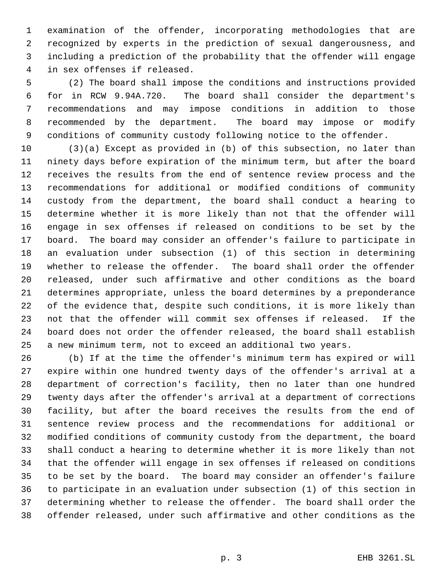examination of the offender, incorporating methodologies that are recognized by experts in the prediction of sexual dangerousness, and including a prediction of the probability that the offender will engage in sex offenses if released.

 (2) The board shall impose the conditions and instructions provided for in RCW 9.94A.720. The board shall consider the department's recommendations and may impose conditions in addition to those recommended by the department. The board may impose or modify conditions of community custody following notice to the offender.

 (3)(a) Except as provided in (b) of this subsection, no later than ninety days before expiration of the minimum term, but after the board receives the results from the end of sentence review process and the recommendations for additional or modified conditions of community custody from the department, the board shall conduct a hearing to determine whether it is more likely than not that the offender will engage in sex offenses if released on conditions to be set by the board. The board may consider an offender's failure to participate in an evaluation under subsection (1) of this section in determining whether to release the offender. The board shall order the offender released, under such affirmative and other conditions as the board determines appropriate, unless the board determines by a preponderance of the evidence that, despite such conditions, it is more likely than not that the offender will commit sex offenses if released. If the board does not order the offender released, the board shall establish a new minimum term, not to exceed an additional two years.

 (b) If at the time the offender's minimum term has expired or will expire within one hundred twenty days of the offender's arrival at a department of correction's facility, then no later than one hundred twenty days after the offender's arrival at a department of corrections facility, but after the board receives the results from the end of sentence review process and the recommendations for additional or modified conditions of community custody from the department, the board shall conduct a hearing to determine whether it is more likely than not that the offender will engage in sex offenses if released on conditions to be set by the board. The board may consider an offender's failure to participate in an evaluation under subsection (1) of this section in determining whether to release the offender. The board shall order the offender released, under such affirmative and other conditions as the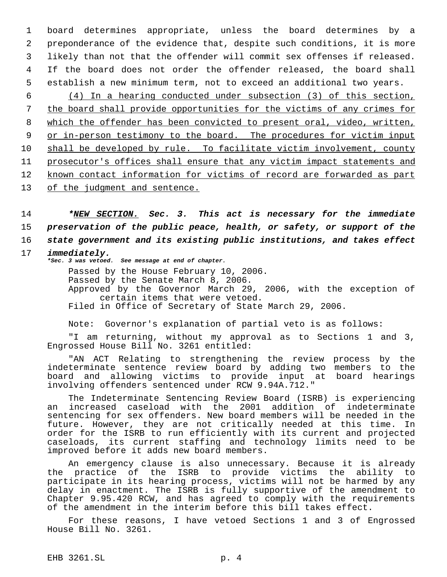board determines appropriate, unless the board determines by a preponderance of the evidence that, despite such conditions, it is more likely than not that the offender will commit sex offenses if released. If the board does not order the offender released, the board shall establish a new minimum term, not to exceed an additional two years.

 (4) In a hearing conducted under subsection (3) of this section, the board shall provide opportunities for the victims of any crimes for which the offender has been convicted to present oral, video, written, 9 or in-person testimony to the board. The procedures for victim input 10 shall be developed by rule. To facilitate victim involvement, county prosecutor's offices shall ensure that any victim impact statements and known contact information for victims of record are forwarded as part 13 of the judgment and sentence.

14 *\*NEW SECTION. Sec. 3. This act is necessary for the immediate* 15 *preservation of the public peace, health, or safety, or support of the* 16 *state government and its existing public institutions, and takes effect*

# 17 *immediately.*

*\*Sec. 3 was vetoed. See message at end of chapter.*

Passed by the House February 10, 2006. Passed by the Senate March 8, 2006. Approved by the Governor March 29, 2006, with the exception of certain items that were vetoed. Filed in Office of Secretary of State March 29, 2006.

Note: Governor's explanation of partial veto is as follows:

"I am returning, without my approval as to Sections 1 and 3, Engrossed House Bill No. 3261 entitled:

"AN ACT Relating to strengthening the review process by the indeterminate sentence review board by adding two members to the board and allowing victims to provide input at board hearings involving offenders sentenced under RCW 9.94A.712."

The Indeterminate Sentencing Review Board (ISRB) is experiencing an increased caseload with the 2001 addition of indeterminate sentencing for sex offenders. New board members will be needed in the future. However, they are not critically needed at this time. In order for the ISRB to run efficiently with its current and projected caseloads, its current staffing and technology limits need to be improved before it adds new board members.

An emergency clause is also unnecessary. Because it is already the practice of the ISRB to provide victims the ability to participate in its hearing process, victims will not be harmed by any delay in enactment. The ISRB is fully supportive of the amendment to Chapter 9.95.420 RCW, and has agreed to comply with the requirements of the amendment in the interim before this bill takes effect.

For these reasons, I have vetoed Sections 1 and 3 of Engrossed House Bill No. 3261.